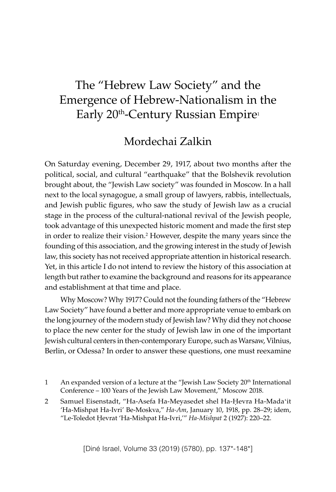## The "Hebrew Law Society" and the Emergence of Hebrew-Nationalism in the Early 20<sup>th</sup>-Century Russian Empire<sup>1</sup>

## Mordechai Zalkin

On Saturday evening, December 29, 1917, about two months after the political, social, and cultural "earthquake" that the Bolshevik revolution brought about, the "Jewish Law society" was founded in Moscow. In a hall next to the local synagogue, a small group of lawyers, rabbis, intellectuals, and Jewish public figures, who saw the study of Jewish law as a crucial stage in the process of the cultural-national revival of the Jewish people, took advantage of this unexpected historic moment and made the first step in order to realize their vision.<sup>2</sup> However, despite the many years since the founding of this association, and the growing interest in the study of Jewish law, this society has not received appropriate attention in historical research. Yet, in this article I do not intend to review the history of this association at length but rather to examine the background and reasons for its appearance and establishment at that time and place.

Why Moscow? Why 1917? Could not the founding fathers of the "Hebrew Law Society" have found a better and more appropriate venue to embark on the long journey of the modern study of Jewish law? Why did they not choose to place the new center for the study of Jewish law in one of the important Jewish cultural centers in then-contemporary Europe, such as Warsaw, Vilnius, Berlin, or Odessa? In order to answer these questions, one must reexamine

- 1 An expanded version of a lecture at the "Jewish Law Society 20<sup>th</sup> International Conference – 100 Years of the Jewish Law Movement," Moscow 2018.
- 2 Samuel Eisenstadt, "Ha-Asefa Ha-Meyasedet shel Ha-Hevra Ha-Mada'it 'Ha-Mishpat Ha-Ivri' Be-Moskva," *Ha-Am*, January 10, 1918, pp. 28–29; idem, "Le-Toledot Êevrat 'Ha-Mishpat Ha-Ivri,'" *Ha-Mishpat* 2 (1927): 220–22.

[Diné Israel, Volume 33 (2019) (5780), pp. 137\*-148\*]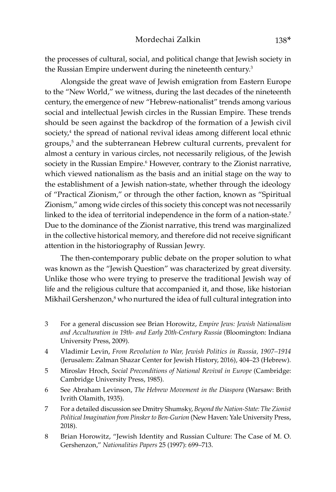the processes of cultural, social, and political change that Jewish society in the Russian Empire underwent during the nineteenth century.<sup>3</sup>

Alongside the great wave of Jewish emigration from Eastern Europe to the "New World," we witness, during the last decades of the nineteenth century, the emergence of new "Hebrew-nationalist" trends among various social and intellectual Jewish circles in the Russian Empire. These trends should be seen against the backdrop of the formation of a Jewish civil society,<sup>4</sup> the spread of national revival ideas among different local ethnic groups,5 and the subterranean Hebrew cultural currents, prevalent for almost a century in various circles, not necessarily religious, of the Jewish society in the Russian Empire.<sup>6</sup> However, contrary to the Zionist narrative, which viewed nationalism as the basis and an initial stage on the way to the establishment of a Jewish nation-state, whether through the ideology of "Practical Zionism," or through the other faction, known as "Spiritual Zionism," among wide circles of this society this concept was not necessarily linked to the idea of territorial independence in the form of a nation-state.<sup>7</sup> Due to the dominance of the Zionist narrative, this trend was marginalized in the collective historical memory, and therefore did not receive significant attention in the historiography of Russian Jewry.

The then-contemporary public debate on the proper solution to what was known as the "Jewish Question" was characterized by great diversity. Unlike those who were trying to preserve the traditional Jewish way of life and the religious culture that accompanied it, and those, like historian Mikhail Gershenzon,<sup>8</sup> who nurtured the idea of full cultural integration into

- 3 For a general discussion see Brian Horowitz, *Empire Jews: Jewish Nationalism and Acculturation in 19th- and Early 20th-Century Russia* (Bloomington: Indiana University Press, 2009).
- 4 Vladimir Levin, *From Revolution to War, Jewish Politics in Russia, 1907–1914* (Jerusalem: Zalman Shazar Center for Jewish History, 2016), 404–23 (Hebrew).
- 5 Miroslav Hroch, *Social Preconditions of National Revival in Europe* (Cambridge: Cambridge University Press, 1985).
- 6 See Abraham Levinson, *The Hebrew Movement in the Diaspora* (Warsaw: Brith Ivrith Olamith, 1935).
- 7 For a detailed discussion see Dmitry Shumsky, *Beyond the Nation-State: The Zionist Political Imagination from Pinsker to Ben-Gurion* (New Haven: Yale University Press, 2018).
- 8 Brian Horowitz, "Jewish Identity and Russian Culture: The Case of M. O. Gershenzon," *Nationalities Papers* 25 (1997): 699–713.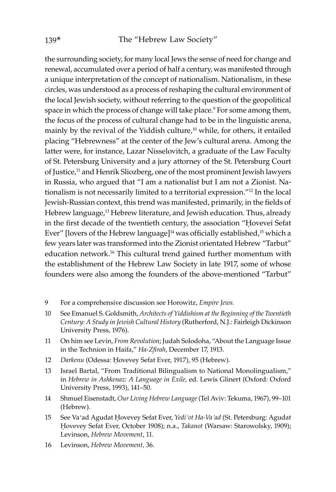the surrounding society, for many local Jews the sense of need for change and renewal, accumulated over a period of half a century, was manifested through a unique interpretation of the concept of nationalism. Nationalism, in these circles, was understood as a process of reshaping the cultural environment of the local Jewish society, without referring to the question of the geopolitical space in which the process of change will take place.<sup>9</sup> For some among them, the focus of the process of cultural change had to be in the linguistic arena, mainly by the revival of the Yiddish culture,<sup>10</sup> while, for others, it entailed placing "Hebrewness" at the center of the Jew's cultural arena. Among the latter were, for instance, Lazar Nisselovitch, a graduate of the Law Faculty of St. Petersburg University and a jury attorney of the St. Petersburg Court of Justice,<sup>11</sup> and Henrik Sliozberg, one of the most prominent Jewish lawyers in Russia, who argued that "I am a nationalist but I am not a Zionist. Nationalism is not necessarily limited to a territorial expression."12 In the local Jewish-Russian context, this trend was manifested, primarily, in the fields of Hebrew language,<sup>13</sup> Hebrew literature, and Jewish education. Thus, already in the first decade of the twentieth century, the association "Hovevei Sefat Ever" [lovers of the Hebrew language]<sup>14</sup> was officially established,<sup>15</sup> which a few years later was transformed into the Zionist orientated Hebrew "Tarbut" education network.<sup>16</sup> This cultural trend gained further momentum with the establishment of the Hebrew Law Society in late 1917, some of whose founders were also among the founders of the above-mentioned "Tarbut"

- 9 For a comprehensive discussion see Horowitz, *Empire Jews.*
- 10 See Emanuel S. Goldsmith, *Architects of Yiddishism at the Beginning of the Twentieth Century: A Study in Jewish Cultural History* (Rutherford, N.J.: Fairleigh Dickinson University Press, 1976).
- 11 On him see Levin, *From Revolution*; Judah Solodoha, "About the Language Issue in the Technion in Haifa," *Ha-Zfirah*, December 17, 1913.
- 12 *Darkenu* (Odessa: Hovevey Sefat Ever, 1917), 95 (Hebrew).
- 13 Israel Bartal, "From Traditional Bilingualism to National Monolingualism," in *Hebrew in Ashkenaz: A Language in Exile,* ed. Lewis Glinert (Oxford: Oxford University Press, 1993), 141–50.
- 14 Shmuel Eisenstadt, *Our Living Hebrew Language* (Tel Aviv: Tekuma, 1967), 99–101 (Hebrew).
- 15 See Va'ad Agudat Hovevey Sefat Ever, *Yedi'ot Ha-Va'ad* (St. Petersburg: Agudat Êovevey Sefat Ever, October 1908); n.a., *Takanot* (Warsaw: Starowolsky, 1909); Levinson, *Hebrew Movement*, 11.
- 16 Levinson, *Hebrew Movement,* 36.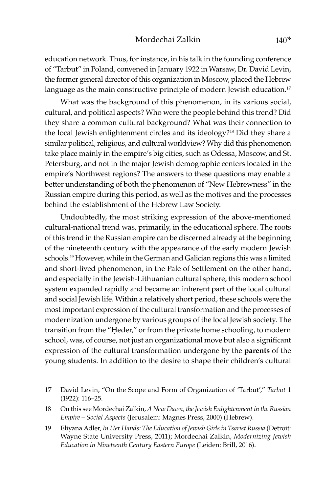education network. Thus, for instance, in his talk in the founding conference of "Tarbut" in Poland, convened in January 1922 in Warsaw, Dr. David Levin, the former general director of this organization in Moscow, placed the Hebrew language as the main constructive principle of modern Jewish education.<sup>17</sup>

What was the background of this phenomenon, in its various social, cultural, and political aspects? Who were the people behind this trend? Did they share a common cultural background? What was their connection to the local Jewish enlightenment circles and its ideology?18 Did they share a similar political, religious, and cultural worldview? Why did this phenomenon take place mainly in the empire's big cities, such as Odessa, Moscow, and St. Petersburg, and not in the major Jewish demographic centers located in the empire's Northwest regions? The answers to these questions may enable a better understanding of both the phenomenon of "New Hebrewness" in the Russian empire during this period, as well as the motives and the processes behind the establishment of the Hebrew Law Society.

Undoubtedly, the most striking expression of the above-mentioned cultural-national trend was, primarily, in the educational sphere. The roots of this trend in the Russian empire can be discerned already at the beginning of the nineteenth century with the appearance of the early modern Jewish schools.<sup>19</sup> However, while in the German and Galician regions this was a limited and short-lived phenomenon, in the Pale of Settlement on the other hand, and especially in the Jewish-Lithuanian cultural sphere, this modern school system expanded rapidly and became an inherent part of the local cultural and social Jewish life. Within a relatively short period, these schools were the most important expression of the cultural transformation and the processes of modernization undergone by various groups of the local Jewish society. The transition from the "Heder," or from the private home schooling, to modern school, was, of course, not just an organizational move but also a significant expression of the cultural transformation undergone by the **parents** of the young students. In addition to the desire to shape their children's cultural

- 17 David Levin, "On the Scope and Form of Organization of 'Tarbut'," *Tarbut* 1 (1922): 116–25.
- 18 On this see Mordechai Zalkin, *A New Dawn, the Jewish Enlightenment in the Russian Empire – Social Aspects* (Jerusalem: Magnes Press, 2000) (Hebrew).
- 19 Eliyana Adler, *In Her Hands: The Education of Jewish Girls in Tsarist Russia* (Detroit: Wayne State University Press, 2011); Mordechai Zalkin, *Modernizing Jewish Education in Nineteenth Century Eastern Europe* (Leiden: Brill, 2016).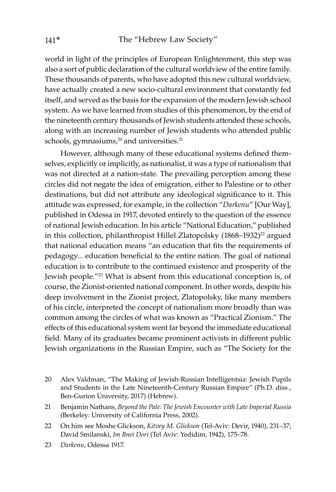world in light of the principles of European Enlightenment, this step was also a sort of public declaration of the cultural worldview of the entire family. These thousands of parents, who have adopted this new cultural worldview, have actually created a new socio-cultural environment that constantly fed itself, and served as the basis for the expansion of the modern Jewish school system. As we have learned from studies of this phenomenon, by the end of the nineteenth century thousands of Jewish students attended these schools, along with an increasing number of Jewish students who attended public schools, gymnasiums, $20$  and universities. $21$ 

However, although many of these educational systems defined themselves, explicitly or implicitly, as nationalist, it was a type of nationalism that was not directed at a nation-state. The prevailing perception among these circles did not negate the idea of emigration, either to Palestine or to other destinations, but did not attribute any ideological significance to it. This attitude was expressed, for example, in the collection "*Darkenu*" [Our Way], published in Odessa in 1917, devoted entirely to the question of the essence of national Jewish education. In his article "National Education," published in this collection, philanthropist Hillel Zlatopolsky (1868–1932)<sup>22</sup> argued that national education means "an education that fits the requirements of pedagogy... education beneficial to the entire nation. The goal of national education is to contribute to the continued existence and prosperity of the Jewish people."23 What is absent from this educational conception is, of course, the Zionist-oriented national component. In other words, despite his deep involvement in the Zionist project, Zlatopolsky, like many members of his circle, interpreted the concept of nationalism more broadly than was common among the circles of what was known as "Practical Zionism." The effects of this educational system went far beyond the immediate educational field. Many of its graduates became prominent activists in different public Jewish organizations in the Russian Empire, such as "The Society for the

- 20 Alex Valdman, "The Making of Jewish-Russian Intelligentsia: Jewish Pupils and Students in the Late Nineteenth-Century Russian Empire" (Ph.D. diss., Ben-Gurion University, 2017) (Hebrew).
- 21 Benjamin Nathans, *Beyond the Pale: The Jewish Encounter with Late Imperial Russia* (Berkeley: University of California Press, 2002).
- 22 On him see Moshe Glickson, *Kitvey M. Glickson* (Tel-Aviv: Devir, 1940), 231–37; David Smilanski, *Im Bnei Dori* (Tel Aviv: Yedidim, 1942), 175–78.
- 23 *Darkenu*, Odessa 1917.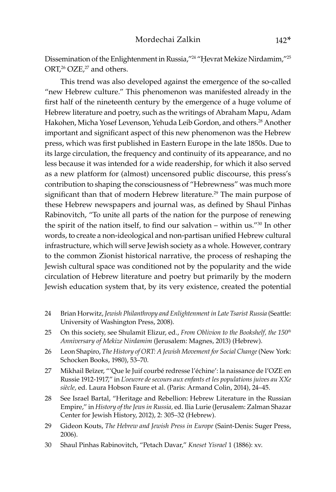Dissemination of the Enlightenment in Russia,"<sup>24</sup> "Hevrat Mekize Nirdamim,"<sup>25</sup> ORT,<sup>26</sup> OZE,<sup>27</sup> and others.

This trend was also developed against the emergence of the so-called "new Hebrew culture." This phenomenon was manifested already in the first half of the nineteenth century by the emergence of a huge volume of Hebrew literature and poetry, such as the writings of Abraham Mapu, Adam Hakohen, Micha Yosef Levenson, Yehuda Leib Gordon, and others.<sup>28</sup> Another important and significant aspect of this new phenomenon was the Hebrew press, which was first published in Eastern Europe in the late 1850s. Due to its large circulation, the frequency and continuity of its appearance, and no less because it was intended for a wide readership, for which it also served as a new platform for (almost) uncensored public discourse, this press's contribution to shaping the consciousness of "Hebrewness" was much more significant than that of modern Hebrew literature.<sup>29</sup> The main purpose of these Hebrew newspapers and journal was, as defined by Shaul Pinhas Rabinovitch, "To unite all parts of the nation for the purpose of renewing the spirit of the nation itself, to find our salvation – within us."30 In other words, to create a non-ideological and non-partisan unified Hebrew cultural infrastructure, which will serve Jewish society as a whole. However, contrary to the common Zionist historical narrative, the process of reshaping the Jewish cultural space was conditioned not by the popularity and the wide circulation of Hebrew literature and poetry but primarily by the modern Jewish education system that, by its very existence, created the potential

- 24 Brian Horwitz, *Jewish Philanthropy and Enlightenment in Late Tsarist Russia* (Seattle: University of Washington Press, 2008).
- 25 On this society, see Shulamit Elizur, ed., *From Oblivion to the Bookshelf, the 150th Anniversary of Mekize Nirdamim* (Jerusalem: Magnes, 2013) (Hebrew).
- 26 Leon Shapiro, *The History of ORT: A Jewish Movement for Social Change* (New York: Schocken Books, 1980), 53–70.
- 27 Mikhail Beĭzer, "'Que le Juif courbé redresse l'échine': la naissance de l'OZE en Russie 1912-1917," in *L'oeuvre de secours aux enfants et les populations juives au XXe siècle,* ed. Laura Hobson Faure et al. (Paris: Armand Colin, 2014), 24–45.
- 28 See Israel Bartal, "Heritage and Rebellion: Hebrew Literature in the Russian Empire," in *History of the Jews in Russia,* ed. Ilia Lurie (Jerusalem: Zalman Shazar Center for Jewish History, 2012), 2: 305–32 (Hebrew).
- 29 Gideon Kouts, *The Hebrew and Jewish Press in Europe* (Saint-Denis: Suger Press, 2006).
- 30 Shaul Pinhas Rabinovitch, "Petach Davar," *Kneset Yisrael* 1 (1886): xv.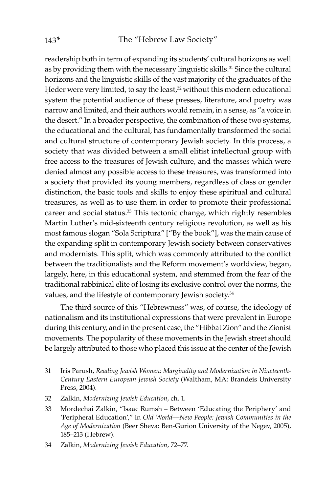readership both in term of expanding its students' cultural horizons as well as by providing them with the necessary linguistic skills.<sup>31</sup> Since the cultural horizons and the linguistic skills of the vast majority of the graduates of the Heder were very limited, to say the least,<sup>32</sup> without this modern educational system the potential audience of these presses, literature, and poetry was narrow and limited, and their authors would remain, in a sense, as "a voice in the desert." In a broader perspective, the combination of these two systems, the educational and the cultural, has fundamentally transformed the social and cultural structure of contemporary Jewish society. In this process, a society that was divided between a small elitist intellectual group with free access to the treasures of Jewish culture, and the masses which were denied almost any possible access to these treasures, was transformed into a society that provided its young members, regardless of class or gender distinction, the basic tools and skills to enjoy these spiritual and cultural treasures, as well as to use them in order to promote their professional career and social status.<sup>33</sup> This tectonic change, which rightly resembles Martin Luther's mid-sixteenth century religious revolution, as well as his most famous slogan "Sola Scriptura" ["By the book"], was the main cause of the expanding split in contemporary Jewish society between conservatives and modernists. This split, which was commonly attributed to the conflict between the traditionalists and the Reform movement's worldview, began, largely, here, in this educational system, and stemmed from the fear of the traditional rabbinical elite of losing its exclusive control over the norms, the values, and the lifestyle of contemporary Jewish society.<sup>34</sup>

The third source of this "Hebrewness" was, of course, the ideology of nationalism and its institutional expressions that were prevalent in Europe during this century, and in the present case, the "Hibbat Zion" and the Zionist movements. The popularity of these movements in the Jewish street should be largely attributed to those who placed this issue at the center of the Jewish

- 31 Iris Parush, *Reading Jewish Women: Marginality and Modernization in Nineteenth-Century Eastern European Jewish Society* (Waltham, MA: Brandeis University Press, 2004).
- 32 Zalkin, *Modernizing Jewish Education*, ch. 1.
- 33 Mordechai Zalkin, "Isaac Rumsh Between 'Educating the Periphery' and 'Peripheral Education'," in *Old World—New People: Jewish Communities in the Age of Modernization* (Beer Sheva: Ben-Gurion University of the Negev, 2005), 185–213 (Hebrew).
- 34 Zalkin, *Modernizing Jewish Education*, 72–77.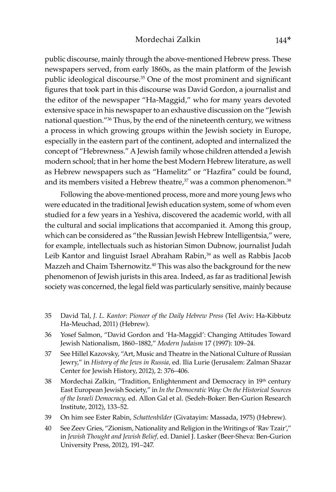public discourse, mainly through the above-mentioned Hebrew press. These newspapers served, from early 1860s, as the main platform of the Jewish public ideological discourse.35 One of the most prominent and significant figures that took part in this discourse was David Gordon, a journalist and the editor of the newspaper "Ha-Maggid," who for many years devoted extensive space in his newspaper to an exhaustive discussion on the "Jewish national question."36 Thus, by the end of the nineteenth century, we witness a process in which growing groups within the Jewish society in Europe, especially in the eastern part of the continent, adopted and internalized the concept of "Hebrewness." A Jewish family whose children attended a Jewish modern school; that in her home the best Modern Hebrew literature, as well as Hebrew newspapers such as "Hamelitz" or "Hazfira" could be found, and its members visited a Hebrew theatre,<sup>37</sup> was a common phenomenon.<sup>38</sup>

Following the above-mentioned process, more and more young Jews who were educated in the traditional Jewish education system, some of whom even studied for a few years in a Yeshiva, discovered the academic world, with all the cultural and social implications that accompanied it. Among this group, which can be considered as "the Russian Jewish Hebrew Intelligentsia," were, for example, intellectuals such as historian Simon Dubnow, journalist Judah Leib Kantor and linguist Israel Abraham Rabin,<sup>39</sup> as well as Rabbis Jacob Mazzeh and Chaim Tshernowitz.<sup>40</sup> This was also the background for the new phenomenon of Jewish jurists in this area. Indeed, as far as traditional Jewish society was concerned, the legal field was particularly sensitive, mainly because

- 35 David Tal, *J. L. Kantor*: *Pioneer of the Daily Hebrew Press* (Tel Aviv: Ha-Kibbutz Ha-Meuchad, 2011) (Hebrew).
- 36 Yosef Salmon, "David Gordon and 'Ha-Maggid': Changing Attitudes Toward Jewish Nationalism, 1860–1882," *Modern Judaism* 17 (1997): 109–24.
- 37 See Hillel Kazovsky, "Art, Music and Theatre in the National Culture of Russian Jewry," in *History of the Jews in Russia,* ed. Ilia Lurie (Jerusalem: Zalman Shazar Center for Jewish History, 2012), 2: 376–406.
- 38 Mordechai Zalkin, "Tradition, Enlightenment and Democracy in 19th century East European Jewish Society," in *In the Democratic Way: On the Historical Sources of the Israeli Democracy,* ed. Allon Gal et al. (Sedeh-Boker: Ben-Gurion Research Institute, 2012), 133–52.
- 39 On him see Ester Rabin, *Schattenbilder* (Givatayim: Massada, 1975) (Hebrew).
- 40 See Zeev Gries, "Zionism, Nationality and Religion in the Writings of 'Rav Tzair'," in *Jewish Thought and Jewish Belief,* ed. Daniel J. Lasker (Beer-Sheva: Ben-Gurion University Press, 2012), 191–247.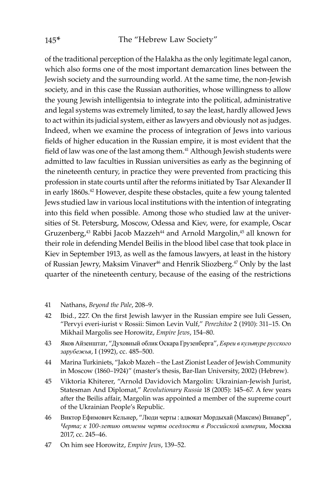of the traditional perception of the Halakha as the only legitimate legal canon, which also forms one of the most important demarcation lines between the Jewish society and the surrounding world. At the same time, the non-Jewish society, and in this case the Russian authorities, whose willingness to allow the young Jewish intelligentsia to integrate into the political, administrative and legal systems was extremely limited, to say the least, hardly allowed Jews to act within its judicial system, either as lawyers and obviously not as judges. Indeed, when we examine the process of integration of Jews into various fields of higher education in the Russian empire, it is most evident that the field of law was one of the last among them.<sup>41</sup> Although Jewish students were admitted to law faculties in Russian universities as early as the beginning of the nineteenth century, in practice they were prevented from practicing this profession in state courts until after the reforms initiated by Tsar Alexander II in early 1860s.<sup>42</sup> However, despite these obstacles, quite a few young talented Jews studied law in various local institutions with the intention of integrating into this field when possible. Among those who studied law at the universities of St. Petersburg, Moscow, Odessa and Kiev, were, for example, Oscar Gruzenberg,<sup>43</sup> Rabbi Jacob Mazzeh<sup>44</sup> and Arnold Margolin,<sup>45</sup> all known for their role in defending Mendel Beilis in the blood libel case that took place in Kiev in September 1913, as well as the famous lawyers, at least in the history of Russian Jewry, Maksim Vinaver<sup>46</sup> and Henrik Sliozberg.<sup>47</sup> Only by the last quarter of the nineteenth century, because of the easing of the restrictions

- 41 Nathans, *Beyond the Pale*, 208–9.
- 42 Ibid., 227. On the first Jewish lawyer in the Russian empire see Iuli Gessen, "Pervyi everi-iurist v Rossii: Simon Levin Vulf," *Perezhitoe* 2 (1910): 311–15. On Mikhail Margolis see Horowitz, *Empire Jews*, 154–80.
- 43 Яков Айзенштат, "Духовный облик Оскара Грузенберга", *Евреи в культуре русского зарубежья*, I (1992), cc. 485–500.
- 44 Marina Turkiniets, "Jakob Mazeh the Last Zionist Leader of Jewish Community in Moscow (1860–1924)" (master's thesis, Bar-Ilan University, 2002) (Hebrew).
- 45 Viktoria Khiterer, "Arnold Davidovich Margolin: Ukrainian-Jewish Jurist, Statesman And Diplomat," *Revolutionary Russia* 18 (2005): 145–67. A few years after the Beilis affair, Margolin was appointed a member of the supreme court of the Ukrainian People's Republic.
- 46 Виктор Ефимович Кельнер, "Люди черты : адвокат Мордыхай (Максим) Винавер", *Черта; к 100-летию отмены черты оседлости в Российской империи*, Москва 2017, cc. 245–46.
- 47 On him see Horowitz, *Empire Jews*, 139–52.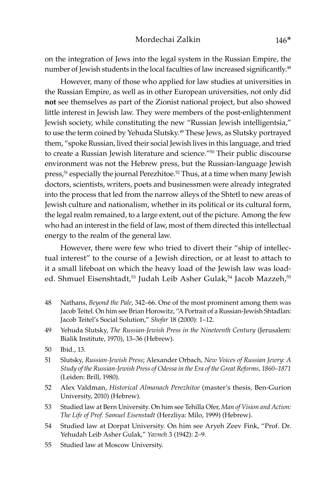on the integration of Jews into the legal system in the Russian Empire, the number of Jewish students in the local faculties of law increased significantly.<sup>48</sup>

However, many of those who applied for law studies at universities in the Russian Empire, as well as in other European universities, not only did **not** see themselves as part of the Zionist national project, but also showed little interest in Jewish law. They were members of the post-enlightenment Jewish society, while constituting the new "Russian Jewish intelligentsia," to use the term coined by Yehuda Slutsky.<sup>49</sup> These Jews, as Slutsky portrayed them, "spoke Russian, lived their social Jewish lives in this language, and tried to create a Russian Jewish literature and science."50 Their public discourse environment was not the Hebrew press, but the Russian-language Jewish press,<sup>51</sup> especially the journal Perezhitoe.<sup>52</sup> Thus, at a time when many Jewish doctors, scientists, writers, poets and businessmen were already integrated into the process that led from the narrow alleys of the Shtetl to new areas of Jewish culture and nationalism, whether in its political or its cultural form, the legal realm remained, to a large extent, out of the picture. Among the few who had an interest in the field of law, most of them directed this intellectual energy to the realm of the general law.

However, there were few who tried to divert their "ship of intellectual interest" to the course of a Jewish direction, or at least to attach to it a small lifeboat on which the heavy load of the Jewish law was loaded. Shmuel Eisenshtadt,<sup>53</sup> Judah Leib Asher Gulak,<sup>54</sup> Jacob Mazzeh,<sup>55</sup>

- 48 Nathans, *Beyond the Pale*, 342–66. One of the most prominent among them was Jacob Teitel. On him see Brian Horowitz, "A Portrait of a Russian-Jewish Shtadlan: Jacob Teitel's Social Solution," *Shofar* 18 (2000): 1–12.
- 49 Yehuda Slutsky, *The Russian-Jewish Press in the Nineteenth Century* (Jerusalem: Bialik Institute, 1970), 13–36 (Hebrew).
- 50 Ibid., 13.
- 51 Slutsky, *Russian-Jewish Press*; Alexander Orbach, *New Voices of Russian Jewry: A Study of the Russian-Jewish Press of Odessa in the Era of the Great Reforms, 1860–1871* (Leiden: Brill, 1980).
- 52 Alex Valdman, *Historical Almanach Perezhitoe* (master's thesis, Ben-Gurion University, 2010) (Hebrew).
- 53 Studied law at Bern University. On him see Tehilla Ofer, *Man of Vision and Action: The Life of Prof. Samuel Eisenstadt* (Herzliya: Milo, 1999) (Hebrew).
- 54 Studied law at Dorpat University. On him see Aryeh Zeev Fink, "Prof. Dr. Yehudah Leib Asher Gulak," *Yavneh* 3 (1942): 2–9.
- 55 Studied law at Moscow University.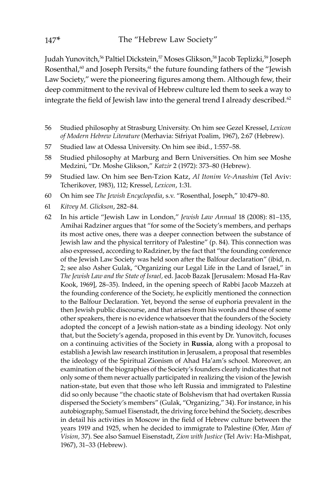Judah Yunovitch,<sup>56</sup> Paltiel Dickstein,<sup>57</sup> Moses Glikson,<sup>58</sup> Jacob Teplizki,<sup>59</sup> Joseph Rosenthal,<sup>60</sup> and Joseph Persits,<sup>61</sup> the future founding fathers of the "Jewish" Law Society," were the pioneering figures among them. Although few, their deep commitment to the revival of Hebrew culture led them to seek a way to integrate the field of Jewish law into the general trend I already described. $62$ 

- 56 Studied philosophy at Strasburg University. On him see Gezel Kressel, *Lexicon of Modern Hebrew Literature* (Merhavia: Sifriyat Poalim, 1967), 2:67 (Hebrew).
- 57 Studied law at Odessa University. On him see ibid., 1:557–58.
- 58 Studied philosophy at Marburg and Bern Universities. On him see Moshe Medzini, "Dr. Moshe Glikson," *Katzir* 2 (1972): 373–80 (Hebrew).
- 59 Studied law. On him see Ben-Tzion Katz, *Al Itonim Ve-Anashim* (Tel Aviv: Tcherikover, 1983), 112; Kressel, *Lexicon*, 1:31.
- 60 On him see *The Jewish Encyclopedia*, s.v. "Rosenthal, Joseph," 10:479–80.
- 61 *Kitvey M. Glickson*, 282–84.
- 62 In his article "Jewish Law in London," *Jewish Law Annual* 18 (2008): 81–135, Amihai Radziner argues that "for some of the Society's members, and perhaps its most active ones, there was a deeper connection between the substance of Jewish law and the physical territory of Palestine" (p. 84). This connection was also expressed, according to Radziner, by the fact that "the founding conference of the Jewish Law Society was held soon after the Balfour declaration" (ibid, n. 2; see also Asher Gulak, "Organizing our Legal Life in the Land of Israel," in *The Jewish Law and the State of Israel,* ed. Jacob Bazak [Jerusalem: Mosad Ha-Rav Kook, 1969], 28–35). Indeed, in the opening speech of Rabbi Jacob Mazzeh at the founding conference of the Society, he explicitly mentioned the connection to the Balfour Declaration. Yet, beyond the sense of euphoria prevalent in the then Jewish public discourse, and that arises from his words and those of some other speakers, there is no evidence whatsoever that the founders of the Society adopted the concept of a Jewish nation-state as a binding ideology. Not only that, but the Society's agenda, proposed in this event by Dr. Yunovitch, focuses on a continuing activities of the Society in **Russia**, along with a proposal to establish a Jewish law research institution in Jerusalem, a proposal that resembles the ideology of the Spiritual Zionism of Ahad Ha'am's school. Moreover, an examination of the biographies of the Society's founders clearly indicates that not only some of them never actually participated in realizing the vision of the Jewish nation-state, but even that those who left Russia and immigrated to Palestine did so only because "the chaotic state of Bolshevism that had overtaken Russia dispersed the Society's members" (Gulak, "Organizing," 34). For instance, in his autobiography, Samuel Eisenstadt, the driving force behind the Society, describes in detail his activities in Moscow in the field of Hebrew culture between the years 1919 and 1925, when he decided to immigrate to Palestine (Ofer, *Man of Vision,* 37). See also Samuel Eisenstadt, *Zion with Justice* (Tel Aviv: Ha-Mishpat, 1967), 31–33 (Hebrew).